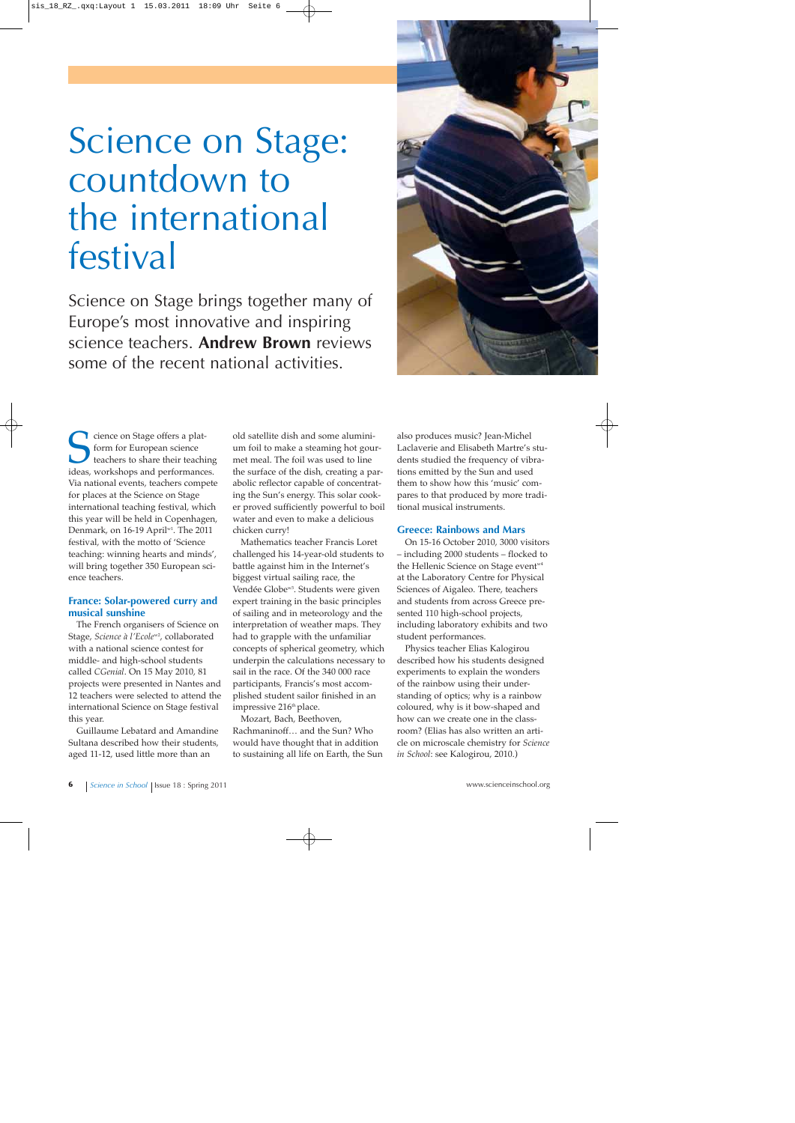# Science on Stage: countdown to the international festival

Science on Stage brings together many of Europe's most innovative and inspiring science teachers. **Andrew Brown** reviews some of the recent national activities.



Science on Stage offers a plat-<br>form for European science<br>teachers to share their teaching<br>ideas, workshops and performances. form for European science teachers to share their teaching Via national events, teachers compete for places at the Science on Stage international teaching festival, which this year will be held in Copenhagen, Denmark, on 16-19 April<sup>w1</sup>. The 2011 festival, with the motto of 'Science teaching: winning hearts and minds', will bring together 350 European science teachers.

## **France: Solar-powered curry and musical sunshine**

The French organisers of Science on Stage, *Science à l'Ecole*<sup>w2</sup>, collaborated with a national science contest for middle- and high-school students called *CGenial*. On 15 May 2010, 81 projects were presented in Nantes and 12 teachers were selected to attend the international Science on Stage festival this year.

Guillaume Lebatard and Amandine Sultana described how their students, aged 11-12, used little more than an

old satellite dish and some aluminium foil to make a steaming hot gourmet meal. The foil was used to line the surface of the dish, creating a parabolic reflector capable of concentrating the Sun's energy. This solar cooker proved sufficiently powerful to boil water and even to make a delicious chicken curry!

Mathematics teacher Francis Loret challenged his 14-year-old students to battle against him in the Internet's biggest virtual sailing race, the Vendée Globe<sup>w3</sup>. Students were given expert training in the basic principles of sailing and in meteorology and the interpretation of weather maps. They had to grapple with the unfamiliar concepts of spherical geometry, which underpin the calculations necessary to sail in the race. Of the 340 000 race participants, Francis's most accomplished student sailor finished in an impressive 216<sup>th</sup> place.

Mozart, Bach, Beethoven, Rachmaninoff… and the Sun? Who would have thought that in addition to sustaining all life on Earth, the Sun also produces music? Jean-Michel Laclaverie and Elisabeth Martre's students studied the frequency of vibrations emitted by the Sun and used them to show how this 'music' compares to that produced by more traditional musical instruments.

### **Greece: Rainbows and Mars**

On 15-16 October 2010, 3000 visitors – including 2000 students – flocked to the Hellenic Science on Stage event<sup>w4</sup> at the Laboratory Centre for Physical Sciences of Aigaleo. There, teachers and students from across Greece presented 110 high-school projects, including laboratory exhibits and two student performances.

Physics teacher Elias Kalogirou described how his students designed experiments to explain the wonders of the rainbow using their understanding of optics; why is a rainbow coloured, why is it bow-shaped and how can we create one in the classroom? (Elias has also written an article on microscale chemistry for *Science in School*: see Kalogirou, 2010.)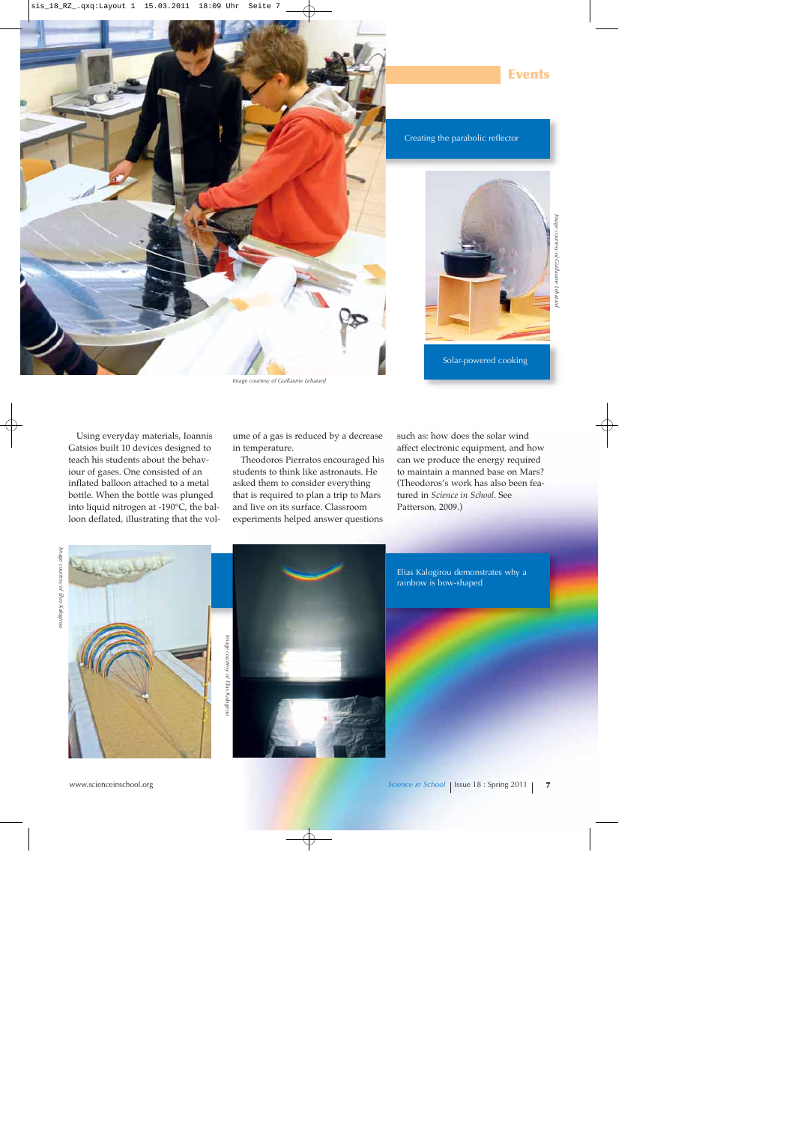

*Image courtesy of Guillaume Lebatard*

Creating the parabolic reflector



**Events**

*Image courtesy of Guillaume Lebatard*

Solar-powered cooking

Using everyday materials, Ioannis Gatsios built 10 devices designed to teach his students about the behaviour of gases. One consisted of an inflated balloon attached to a metal bottle. When the bottle was plunged into liquid nitrogen at -190°C, the balloon deflated, illustrating that the volume of a gas is reduced by a decrease in temperature.

Theodoros Pierratos encouraged his students to think like astronauts. He asked them to consider everything that is required to plan a trip to Mars and live on its surface. Classroom experiments helped answer questions

such as: how does the solar wind affect electronic equipment, and how can we produce the energy required to maintain a manned base on Mars? (Theodoros's work has also been featured in *Science in School*. See Patterson, 2009.)





Elias Kalogirou demonstrates why a rainbow is bow-shaped